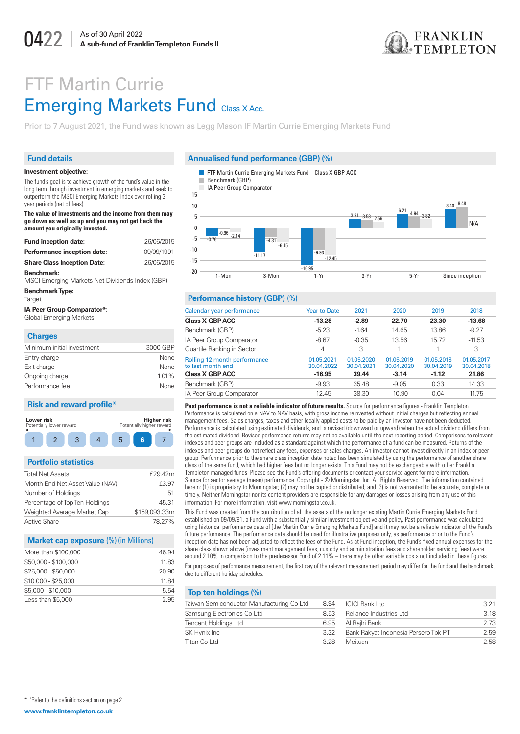

# **FTF Martin Currie Emerging Markets Fund Class X Acc.**

Prior to 7 August 2021, the Fund was known as Legg Mason IF Martin Currie Emerging Markets Fund

# **Fund details**

#### Investment objective:

The fund's goal is to achieve growth of the fund's value in the long term through investment in emerging markets and seek to outperform the MSCI Emerging Markets Index over rolling 3 year neriods (net of fees)

The value of investments and the income from them may go down as well as up and you may not get back the amount you originally invested.

| <b>Fund inception date:</b>        | 26/06/2015 |
|------------------------------------|------------|
| Performance inception date:        | 09/09/1991 |
| <b>Share Class Inception Date:</b> | 26/06/2015 |
| Benchmark:                         |            |

MSCI Emerging Markets Net Dividends Index (GBP)

| Benchmark Type: |  |
|-----------------|--|
| Target          |  |

IA Peer Group Comparator\*: **Global Emerging Markets** 

## Charges

| Minimum initial investment | 3000 GBP |
|----------------------------|----------|
| Entry charge               | None     |
| Exit charge                | None     |
| Ongoing charge             | 1.01%    |
| Performance fee            | None     |

#### **Risk and reward profile\***



# **Portfolio statistics**

| <b>Total Net Assets</b>         | £29.42n        |
|---------------------------------|----------------|
| Month End Net Asset Value (NAV) | £3.97          |
| Number of Holdings              | 51             |
| Percentage of Top Ten Holdings  | $45.3^{\circ}$ |
| Weighted Average Market Cap     | \$159,093,33n  |
| Active Share                    | 78.27%         |
|                                 |                |

#### **Market cap exposure (%) (in Millions)**

| More than \$100,000  | 46.94 |  |
|----------------------|-------|--|
| \$50,000 - \$100,000 | 11.83 |  |
| $$25,000 - $50,000$  | 20.90 |  |
| $$10,000 - $25,000$  | 1184  |  |
| \$5,000 - \$10,000   | 5.54  |  |
| Less than \$5,000    | 2.95  |  |

#### Annualised fund performance (GBP) (%)

- FTF Martin Currie Emerging Markets Fund Class X GBP ACC
- Benchmark (GBP)



#### Performance history (GBP) (%)

| Calendar year performance                         | <b>Year to Date</b>      | 2021                     | 2020                     | 2019                     | 2018                     |
|---------------------------------------------------|--------------------------|--------------------------|--------------------------|--------------------------|--------------------------|
| <b>Class X GBP ACC</b>                            | $-13.28$                 | $-2.89$                  | 22.70                    | 23.30                    | $-13.68$                 |
| Benchmark (GBP)                                   | $-5.23$                  | $-1.64$                  | 14.65                    | 13.86                    | $-9.27$                  |
| IA Peer Group Comparator                          | $-8.67$                  | $-0.35$                  | 13.56                    | 15.72                    | $-11.53$                 |
| Quartile Ranking in Sector                        | 4                        | 3                        |                          |                          | 3                        |
| Rolling 12 month performance<br>to last month end | 01.05.2021<br>30.04.2022 | 01.05.2020<br>30.04.2021 | 01.05.2019<br>30.04.2020 | 01.05.2018<br>30.04.2019 | 01.05.2017<br>30.04.2018 |
| <b>Class X GBP ACC</b>                            | $-16.95$                 | 39.44                    | $-3.14$                  | $-1.12$                  | 21.86                    |
| Benchmark (GBP)                                   | $-9.93$                  | 35.48                    | $-9.05$                  | 0.33                     | 14.33                    |
| IA Peer Group Comparator                          | $-12.45$                 | 38.30                    | $-10.90$                 | 0.04                     | 11.75                    |
|                                                   |                          |                          |                          |                          |                          |

Past performance is not a reliable indicator of future results. Source for performance figures - Franklin Templeton. Performance is calculated on a NAV to NAV basis, with gross income reinvested without initial charges but reflecting annual management fees. Sales charges, taxes and other locally applied costs to be paid by an investor have not been deducted. Performance is calculated using estimated dividends, and is revised (downward or upward) when the actual dividend differs from the estimated dividend. Revised performance returns may not be available until the next reporting period. Comparisons to relevant indexes and peer groups are included as a standard against which the performance of a fund can be measured. Returns of the indexes and peer groups do not reflect any fees, expenses or sales charges. An investor cannot invest directly in an index or peer group. Performance prior to the share class inception date noted has been simulated by using the performance of another share class of the same fund, which had higher fees but no longer exists. This Fund may not be exchangeable with other Franklin Templeton managed funds. Please see the Fund's offering documents or contact your service agent for more information. Source for sector average (mean) performance: Copyright - © Morningstar, Inc. All Rights Reserved. The information contained herein: (1) is proprietary to Morningstar; (2) may not be copied or distributed; and (3) is not warranted to be accurate, complete or timely. Neither Morningstar nor its content providers are responsible for any damages or losses arising from any use of this information. For more information, visit www.morningstar.co.uk.

This Fund was created from the contribution of all the assets of the no longer existing Martin Currie Emerging Markets Fund established on 09/09/91, a Fund with a substantially similar investment objective and policy. Past performance was calculated using historical performance data of [the Martin Currie Emerging Markets Fund] and it may not be a reliable indicator of the Fund's future performance. The performance data should be used for illustrative purposes only, as performance prior to the Fund's inception date has not been adjusted to reflect the fees of the Fund. As at Fund inception, the Fund's fixed annual expenses for the share class shown above (investment management fees, custody and administration fees and shareholder servicing fees) were around 2.10% in comparison to the predecessor Fund of 2.11% - there may be other variable costs not included in these figures. For purposes of performance measurement, the first day of the relevant measurement period may differ for the fund and the benchmark, due to different holiday schedules.

> $3.21$  $3.18$  $273$  $25$ 2.58

#### Top ten holdings (%)

| Faiwan Semiconductor Manufacturing Co Ltd | 8.94 | <b>ICICI Bank Ltd</b>                |
|-------------------------------------------|------|--------------------------------------|
| Samsung Electronics Co Ltd                | 8.53 | Reliance Industries Ltd              |
| Fencent Holdings Ltd                      | 6.95 | Al Rajhi Bank                        |
| SK Hynix Inc                              | 3.32 | Bank Rakyat Indonesia Persero Tbk PT |
| 「itan Co Ltd                              | 3.28 | Meituan                              |
|                                           |      |                                      |